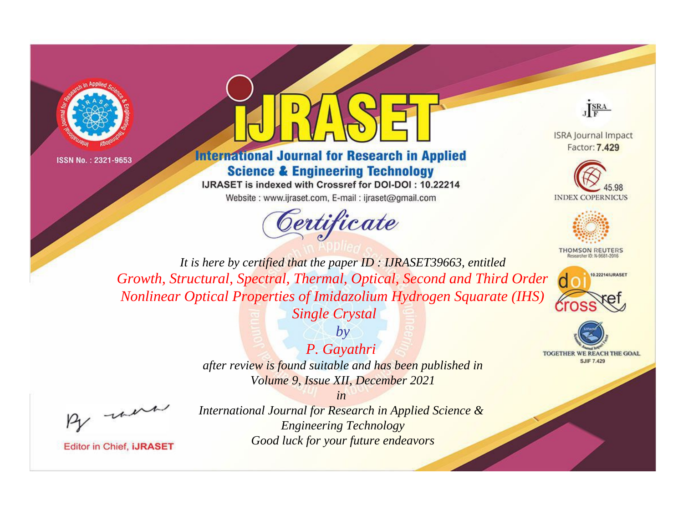



#### **International Journal for Research in Applied Science & Engineering Technology**

IJRASET is indexed with Crossref for DOI-DOI: 10.22214

Website: www.ijraset.com, E-mail: ijraset@gmail.com



JERA

**ISRA Journal Impact** Factor: 7,429





**THOMSON REUTERS** 



**TOGETHER WE REACH THE GOAL SJIF 7.429** 

*It is here by certified that the paper ID : IJRASET39663, entitled Growth, Structural, Spectral, Thermal, Optical, Second and Third Order Nonlinear Optical Properties of Imidazolium Hydrogen Squarate (IHS)* 

*Single Crystal by*

# *P. Gayathri*

*after review is found suitable and has been published in Volume 9, Issue XII, December 2021*

*in* 

, un

**Editor in Chief, IJRASET**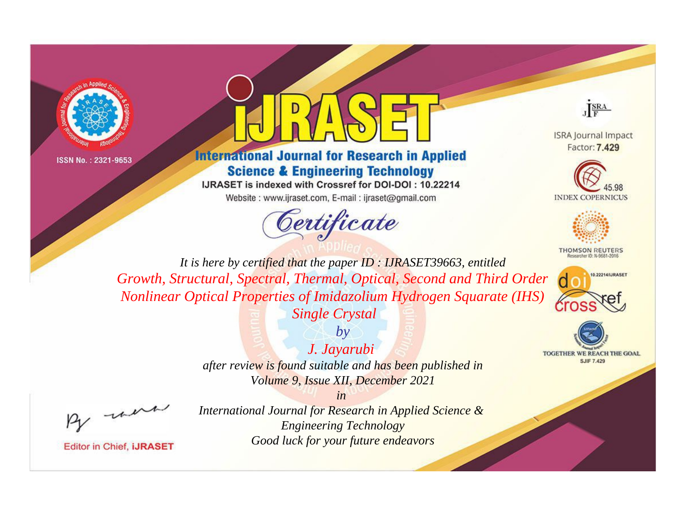



#### **International Journal for Research in Applied Science & Engineering Technology**

IJRASET is indexed with Crossref for DOI-DOI: 10.22214

Website: www.ijraset.com, E-mail: ijraset@gmail.com



JERA

**ISRA Journal Impact** Factor: 7,429





**THOMSON REUTERS** 



**TOGETHER WE REACH THE GOAL SJIF 7.429** 

*It is here by certified that the paper ID : IJRASET39663, entitled Growth, Structural, Spectral, Thermal, Optical, Second and Third Order Nonlinear Optical Properties of Imidazolium Hydrogen Squarate (IHS)* 

*Single Crystal by*

# *J. Jayarubi*

*after review is found suitable and has been published in Volume 9, Issue XII, December 2021*

*in* 

, un

**Editor in Chief, IJRASET**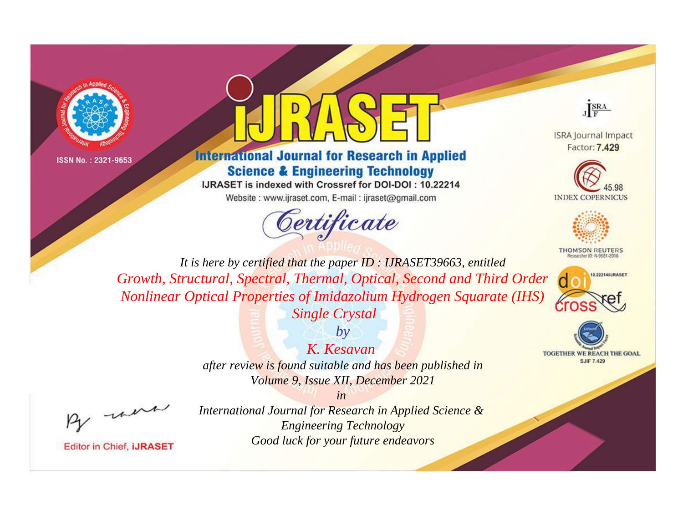



#### **International Journal for Research in Applied Science & Engineering Technology**

IJRASET is indexed with Crossref for DOI-DOI: 10.22214

Website: www.ijraset.com, E-mail: ijraset@gmail.com



JERA

**ISRA Journal Impact** Factor: 7,429





**THOMSON REUTERS** 





*It is here by certified that the paper ID : IJRASET39663, entitled Growth, Structural, Spectral, Thermal, Optical, Second and Third Order Nonlinear Optical Properties of Imidazolium Hydrogen Squarate (IHS)* 

*Single Crystal by*

### *K. Kesavan*

*after review is found suitable and has been published in Volume 9, Issue XII, December 2021*

*in* 

, un

**Editor in Chief, IJRASET**